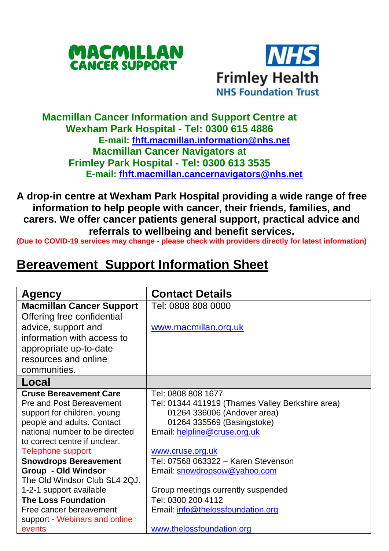



## **Macmillan Cancer Information and Support Centre at Wexham Park Hospital - Tel: 0300 615 4886 E-mail: [fhft.macmillan.information@nhs.net](mailto:fhft.macmillan.information@nhs.net) Macmillan Cancer Navigators at Frimley Park Hospital - Tel: 0300 613 3535 E-mail: [fhft.macmillan.cancernavigators@nhs.net](mailto:fhft.macmillan.cancernavigators@nhs.net)**

**A drop-in centre at Wexham Park Hospital providing a wide range of free information to help people with cancer, their friends, families, and carers. We offer cancer patients general support, practical advice and referrals to wellbeing and benefit services.**

**(Due to COVID-19 services may change - please check with providers directly for latest information)**

## **Bereavement Support Information Sheet**

| Agency                          | <b>Contact Details</b>                           |  |
|---------------------------------|--------------------------------------------------|--|
| <b>Macmillan Cancer Support</b> | Tel: 0808 808 0000                               |  |
| Offering free confidential      |                                                  |  |
| advice, support and             | www.macmillan.org.uk                             |  |
| information with access to      |                                                  |  |
| appropriate up-to-date          |                                                  |  |
| resources and online            |                                                  |  |
| communities.                    |                                                  |  |
| Local                           |                                                  |  |
| <b>Cruse Bereavement Care</b>   | Tel: 0808 808 1677                               |  |
| Pre and Post Bereavement        | Tel: 01344 411919 (Thames Valley Berkshire area) |  |
| support for children, young     | 01264 336006 (Andover area)                      |  |
| people and adults. Contact      | 01264 335569 (Basingstoke)                       |  |
| national number to be directed  | Email: helpline@cruse.org.uk                     |  |
| to correct centre if unclear.   |                                                  |  |
| Telephone support               | www.cruse.org.uk                                 |  |
| <b>Snowdrops Bereavement</b>    | Tel: 07568 063322 - Karen Stevenson              |  |
| Group - Old Windsor             | Email: snowdropsow@yahoo.com                     |  |
| The Old Windsor Club SL4 2QJ.   |                                                  |  |
| 1-2-1 support available         | Group meetings currently suspended               |  |
| <b>The Loss Foundation</b>      | Tel: 0300 200 4112                               |  |
| Free cancer bereavement         | Email: info@thelossfoundation.org                |  |
| support - Webinars and online   |                                                  |  |
| events                          | www.thelossfoundation.org                        |  |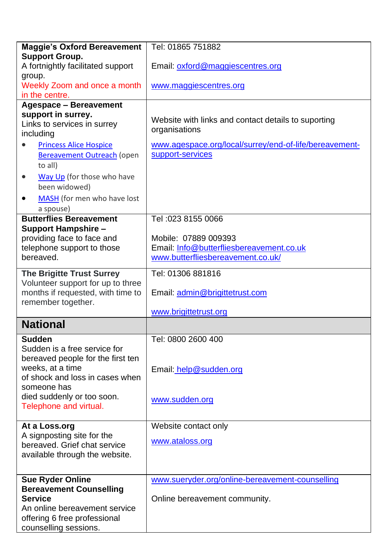| <b>Maggie's Oxford Bereavement</b>                         | Tel: 01865 751882                                      |
|------------------------------------------------------------|--------------------------------------------------------|
| <b>Support Group.</b>                                      |                                                        |
| A fortnightly facilitated support                          | Email: oxford@maggiescentres.org                       |
| group.                                                     |                                                        |
| Weekly Zoom and once a month                               | www.maggiescentres.org                                 |
| in the centre.                                             |                                                        |
| <b>Agespace - Bereavement</b>                              |                                                        |
| support in surrey.                                         | Website with links and contact details to suporting    |
| Links to services in surrey                                | organisations                                          |
| including                                                  |                                                        |
| <b>Princess Alice Hospice</b><br>$\bullet$                 | www.agespace.org/local/surrey/end-of-life/bereavement- |
| <b>Bereavement Outreach (open</b>                          | support-services                                       |
| to all)                                                    |                                                        |
| Way Up (for those who have<br>٠                            |                                                        |
| been widowed)                                              |                                                        |
| MASH (for men who have lost<br>٠                           |                                                        |
| a spouse)                                                  |                                                        |
| <b>Butterflies Bereavement</b>                             | Tel: 023 8155 0066                                     |
| <b>Support Hampshire -</b>                                 |                                                        |
| providing face to face and                                 | Mobile: 07889 009393                                   |
| telephone support to those                                 | Email: Info@butterfliesbereavement.co.uk               |
| bereaved.                                                  | www.butterfliesbereavement.co.uk/                      |
|                                                            |                                                        |
| <b>The Brigitte Trust Surrey</b>                           | Tel: 01306 881816                                      |
| Volunteer support for up to three                          |                                                        |
| months if requested, with time to                          | Email: admin@brigittetrust.com                         |
| remember together.                                         |                                                        |
|                                                            | www.brigittetrust.org                                  |
| <b>National</b>                                            |                                                        |
| <b>Sudden</b>                                              | Tel: 0800 2600 400                                     |
| Sudden is a free service for                               |                                                        |
| bereaved people for the first ten                          |                                                        |
| weeks, at a time                                           | Email: help@sudden.org                                 |
| of shock and loss in cases when                            |                                                        |
| someone has                                                |                                                        |
| died suddenly or too soon.                                 | www.sudden.org                                         |
| Telephone and virtual.                                     |                                                        |
|                                                            |                                                        |
| At a Loss.org                                              | Website contact only                                   |
| A signposting site for the<br>bereaved. Grief chat service | www.ataloss.org                                        |
| available through the website.                             |                                                        |
|                                                            |                                                        |
|                                                            |                                                        |
| Sue Ryder Online                                           | www.sueryder.org/online-bereavement-counselling        |
| <b>Bereavement Counselling</b>                             |                                                        |
| <b>Service</b>                                             | Online bereavement community.                          |
| An online bereavement service                              |                                                        |
| offering 6 free professional                               |                                                        |
| counselling sessions.                                      |                                                        |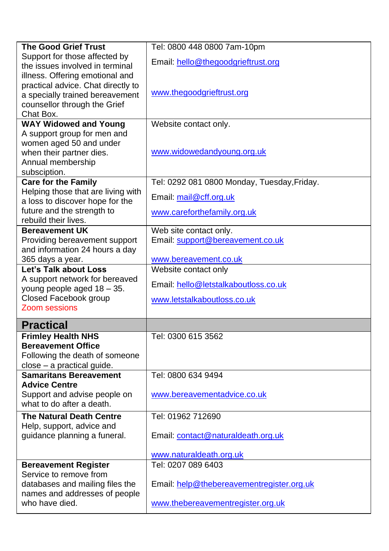| <b>The Good Grief Trust</b>                     | Tel: 0800 448 0800 7am-10pm                 |  |  |
|-------------------------------------------------|---------------------------------------------|--|--|
| Support for those affected by                   |                                             |  |  |
| the issues involved in terminal                 | Email: hello@thegoodgrieftrust.org          |  |  |
| illness. Offering emotional and                 |                                             |  |  |
| practical advice. Chat directly to              |                                             |  |  |
| a specially trained bereavement                 | www.thegoodgrieftrust.org                   |  |  |
| counsellor through the Grief                    |                                             |  |  |
| Chat Box.                                       |                                             |  |  |
| <b>WAY Widowed and Young</b>                    | Website contact only.                       |  |  |
| A support group for men and                     |                                             |  |  |
| women aged 50 and under                         | www.widowedandyoung.org.uk                  |  |  |
| when their partner dies.                        |                                             |  |  |
| Annual membership                               |                                             |  |  |
| subsciption.<br><b>Care for the Family</b>      | Tel: 0292 081 0800 Monday, Tuesday, Friday. |  |  |
| Helping those that are living with              |                                             |  |  |
| a loss to discover hope for the                 | Email: mail@cff.org.uk                      |  |  |
| future and the strength to                      |                                             |  |  |
| rebuild their lives.                            | www.careforthefamily.org.uk                 |  |  |
| <b>Bereavement UK</b>                           | Web site contact only.                      |  |  |
| Providing bereavement support                   | Email: support@bereavement.co.uk            |  |  |
| and information 24 hours a day                  |                                             |  |  |
| 365 days a year.                                | www.bereavement.co.uk                       |  |  |
| Let's Talk about Loss                           | Website contact only                        |  |  |
|                                                 |                                             |  |  |
| A support network for bereaved                  |                                             |  |  |
| young people aged 18 - 35.                      | Email: hello@letstalkaboutloss.co.uk        |  |  |
| Closed Facebook group                           | www.letstalkaboutloss.co.uk                 |  |  |
| Zoom sessions                                   |                                             |  |  |
| <b>Practical</b>                                |                                             |  |  |
| <b>Frimley Health NHS</b>                       | Tel: 0300 615 3562                          |  |  |
| <b>Bereavement Office</b>                       |                                             |  |  |
| Following the death of someone                  |                                             |  |  |
| $close - a practical guide.$                    |                                             |  |  |
| <b>Samaritans Bereavement</b>                   | Tel: 0800 634 9494                          |  |  |
| <b>Advice Centre</b>                            |                                             |  |  |
| Support and advise people on                    | www.bereavementadvice.co.uk                 |  |  |
| what to do after a death.                       |                                             |  |  |
| <b>The Natural Death Centre</b>                 | Tel: 01962 712690                           |  |  |
| Help, support, advice and                       |                                             |  |  |
| guidance planning a funeral.                    | Email: contact@naturaldeath.org.uk          |  |  |
|                                                 |                                             |  |  |
|                                                 | www.naturaldeath.org.uk                     |  |  |
| <b>Bereavement Register</b>                     | Tel: 0207 089 6403                          |  |  |
| Service to remove from                          |                                             |  |  |
| databases and mailing files the                 | Email: help@thebereavementregister.org.uk   |  |  |
| names and addresses of people<br>who have died. | www.thebereavementregister.org.uk           |  |  |